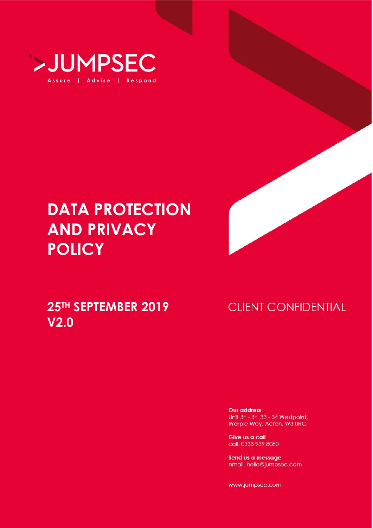

# **DATA PROTECTION AND PRIVACY POLICY**

## **25TH SEPTEMBER 2019 V2.0**

## **CLIENT CONFIDENTIAL**

**Our address** Unit 3E - 3F, 33 - 34 Westpoint, Warple Way, Acton, W3 ORG

Give us a call call. 0333 939 8080

Send us a message email. hello@jumpsec.com

www.jumpsec.com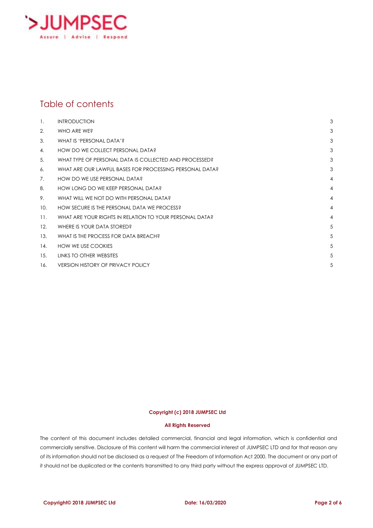

#### Table of contents

| $\mathbf{1}$ . | <b>INTRODUCTION</b>                                     | 3              |
|----------------|---------------------------------------------------------|----------------|
| 2.             | WHO ARE WE?                                             | 3              |
| 3.             | WHAT IS 'PERSONAL DATA'?                                | 3              |
| 4.             | HOW DO WE COLLECT PERSONAL DATA?                        | 3              |
| 5.             | WHAT TYPE OF PERSONAL DATA IS COLLECTED AND PROCESSED?  | 3              |
| 6.             | WHAT ARE OUR LAWFUL BASES FOR PROCESSING PERSONAL DATA? | 3              |
| 7.             | HOW DO WE USE PERSONAL DATA?                            | 4              |
| 8.             | HOW LONG DO WE KEEP PERSONAL DATA?                      | 4              |
| 9.             | WHAT WILL WE NOT DO WITH PERSONAL DATA?                 | $\overline{4}$ |
| 10.            | HOW SECURE IS THE PERSONAL DATA WE PROCESS?             | 4              |
| 11.            | WHAT ARE YOUR RIGHTS IN RELATION TO YOUR PERSONAL DATA? | 4              |
| 12.            | WHERE IS YOUR DATA STORED?                              | 5              |
| 13.            | WHAT IS THE PROCESS FOR DATA BREACH?                    | 5              |
| 14.            | <b>HOW WE USE COOKIES</b>                               | 5              |
| 15.            | LINKS TO OTHER WEBSITES                                 | 5              |
| 16.            | <b>VERSION HISTORY OF PRIVACY POLICY</b>                | 5              |

#### **Copyright (c) 2018 JUMPSEC Ltd**

#### **All Rights Reserved**

The content of this document includes detailed commercial, financial and legal information, which is confidential and commercially sensitive. Disclosure of this content will harm the commercial interest of JUMPSEC LTD and for that reason any of its information should not be disclosed as a request of The Freedom of Information Act 2000. The document or any part of it should not be duplicated or the contents transmitted to any third party without the express approval of JUMPSEC LTD.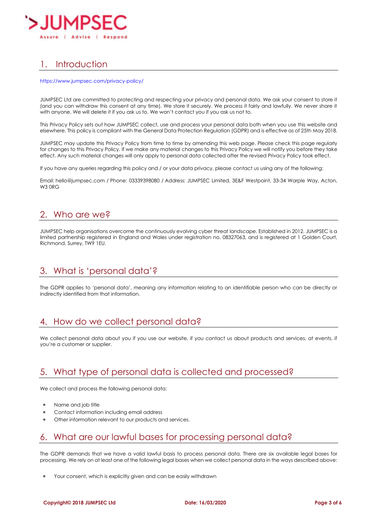

## <span id="page-2-0"></span>1. Introduction

#### <https://www.jumpsec.com/privacy-policy/>

JUMPSEC Ltd are committed to protecting and respecting your privacy and personal data. We ask your consent to store it (and you can withdraw this consent at any time). We store it securely. We process it fairly and lawfully. We never share it with anyone. We will delete it if you ask us to. We won't contact you if you ask us not to.

This Privacy Policy sets out how JUMPSEC collect, use and process your personal data both when you use this website and elsewhere. This policy is compliant with the General Data Protection Regulation (GDPR) and is effective as of 25th May 2018.

JUMPSEC may update this Privacy Policy from time to time by amending this web page. Please check this page regularly for changes to this Privacy Policy. If we make any material changes to this Privacy Policy we will notify you before they take effect. Any such material changes will only apply to personal data collected after the revised Privacy Policy took effect.

If you have any queries regarding this policy and / or your data privacy, please contact us using any of the following:

Email: hello@jumpsec.com / Phone: 03339398080 / Address: JUMPSEC Limited, 3E&F Westpoint, 33-34 Warple Way, Acton, W<sub>3</sub> ORG

#### <span id="page-2-1"></span>2. Who are we?

JUMPSEC help organisations overcome the continuously evolving cyber threat landscape. Established in 2012. JUMPSEC is a limited partnership registered in England and Wales under registration no. 08327063, and is registered at 1 Golden Court, Richmond, Surrey, TW9 1EU.

#### <span id="page-2-2"></span>3. What is 'personal data'?

The GDPR applies to 'personal data', meaning any information relating to an identifiable person who can be directly or indirectly identified from that information.

#### <span id="page-2-3"></span>4. How do we collect personal data?

We collect personal data about you if you use our website, if you contact us about products and services, at events, if you're a customer or supplier.

#### <span id="page-2-4"></span>5. What type of personal data is collected and processed?

We collect and process the following personal data:

- Name and job title
- Contact information including email address
- Other information relevant to our products and services.

#### <span id="page-2-5"></span>6. What are our lawful bases for processing personal data?

The GDPR demands that we have a valid lawful basis to process personal data. There are six available legal bases for processing. We rely on at least one of the following legal bases when we collect personal data in the ways described above:

Your consent, which is explicitly given and can be easily withdrawn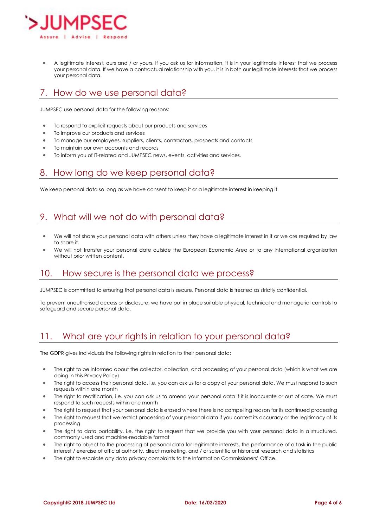

• A legitimate interest, ours and / or yours. If you ask us for information, it is in your legitimate interest that we process your personal data. If we have a contractual relationship with you, it is in both our legitimate interests that we process your personal data.

### <span id="page-3-0"></span>7. How do we use personal data?

JUMPSEC use personal data for the following reasons:

- To respond to explicit requests about our products and services
- To improve our products and services
- To manage our employees, suppliers, clients, contractors, prospects and contacts
- To maintain our own accounts and records
- To inform you of IT-related and JUMPSEC news, events, activities and services.

#### <span id="page-3-1"></span>8. How long do we keep personal data?

We keep personal data so long as we have consent to keep it or a legitimate interest in keeping it.

#### <span id="page-3-2"></span>9. What will we not do with personal data?

- We will not share your personal data with others unless they have a legitimate interest in it or we are required by law to share it.
- We will not transfer your personal date outside the European Economic Area or to any international organisation without prior written content.

#### <span id="page-3-3"></span>10. How secure is the personal data we process?

JUMPSEC is committed to ensuring that personal data is secure. Personal data is treated as strictly confidential.

To prevent unauthorised access or disclosure, we have put in place suitable physical, technical and managerial controls to safeguard and secure personal data.

#### <span id="page-3-4"></span>11. What are your rights in relation to your personal data?

The GDPR gives individuals the following rights in relation to their personal data:

- The right to be informed about the collector, collection, and processing of your personal data (which is what we are doing in this Privacy Policy)
- The right to access their personal data, i.e. you can ask us for a copy of your personal data. We must respond to such requests within one month
- The right to rectification, i.e. you can ask us to amend your personal data if it is inaccurate or out of date. We must respond to such requests within one month
- The right to request that your personal data is erased where there is no compelling reason for its continued processing
- The right to request that we restrict processing of your personal data if you contest its accuracy or the legitimacy of its processing
- The right to data portability, i.e. the right to request that we provide you with your personal data in a structured, commonly used and machine-readable format
- The right to object to the processing of personal data for legitimate interests, the performance of a task in the public interest / exercise of official authority, direct marketing, and / or scientific or historical research and statistics
- The right to escalate any data privacy complaints to the Information Commissioners' Office.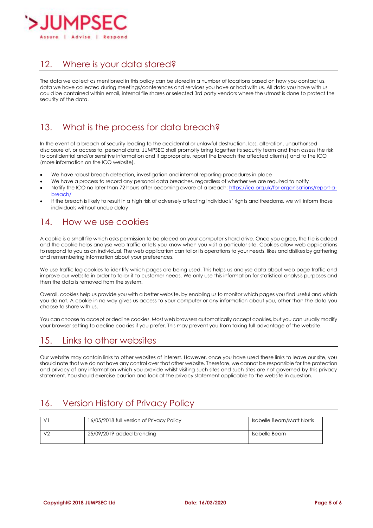

### <span id="page-4-0"></span>12. Where is your data stored?

The data we collect as mentioned in this policy can be stored in a number of locations based on how you contact us, data we have collected during meetings/conferences and services you have or had with us. All data you have with us could be contained within email, internal file shares or selected 3rd party vendors where the utmost is done to protect the security of the data.

#### <span id="page-4-1"></span>13. What is the process for data breach?

In the event of a breach of security leading to the accidental or unlawful destruction, loss, alteration, unauthorised disclosure of, or access to, personal data, JUMPSEC shall promptly bring together its security team and then assess the risk to confidential and/or sensitive information and if appropriate, report the breach the affected client(s) and to the ICO (more information on the ICO website).

- We have robust breach detection, investigation and internal reporting procedures in place
- We have a process to record any personal data breaches, regardless of whether we are required to notify
- Notify the ICO no later than 72 hours after becoming aware of a breach: [https://ico.org.uk/for-organisations/report-a](https://ico.org.uk/for-organisations/report-a-breach/)[breach/](https://ico.org.uk/for-organisations/report-a-breach/)
- If the breach is likely to result in a high risk of adversely affecting individuals' rights and freedoms, we will inform those individuals without undue delay

#### <span id="page-4-2"></span>14. How we use cookies

A cookie is a small file which asks permission to be placed on your computer's hard drive. Once you agree, the file is added and the cookie helps analyse web traffic or lets you know when you visit a particular site. Cookies allow web applications to respond to you as an individual. The web application can tailor its operations to your needs, likes and dislikes by gathering and remembering information about your preferences.

We use traffic log cookies to identify which pages are being used. This helps us analyse data about web page traffic and improve our website in order to tailor it to customer needs. We only use this information for statistical analysis purposes and then the data is removed from the system.

Overall, cookies help us provide you with a better website, by enabling us to monitor which pages you find useful and which you do not. A cookie in no way gives us access to your computer or any information about you, other than the data you choose to share with us.

You can choose to accept or decline cookies. Most web browsers automatically accept cookies, but you can usually modify your browser setting to decline cookies if you prefer. This may prevent you from taking full advantage of the website.

#### <span id="page-4-3"></span>15. Links to other websites

Our website may contain links to other websites of interest. However, once you have used these links to leave our site, you should note that we do not have any control over that other website. Therefore, we cannot be responsible for the protection and privacy of any information which you provide whilst visiting such sites and such sites are not governed by this privacy statement. You should exercise caution and look at the privacy statement applicable to the website in question.

## <span id="page-4-4"></span>16. Version History of Privacy Policy

| 16/05/2018 full version of Privacy Policy | Isabelle Bearn/Matt Norris |
|-------------------------------------------|----------------------------|
| 25/09/2019 added branding                 | Isabelle Bearn             |